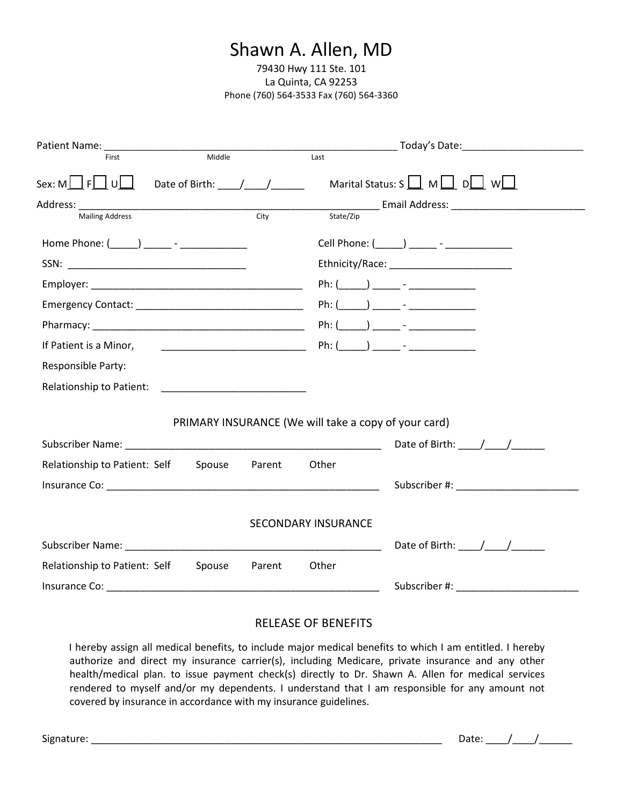# Shawn A. Allen, MD

79430 Hwy 111 Ste. 101 La Quinta, CA 92253 Phone (760) 564-3533 Fax (760) 564-3360

| First                                                                                                                                                                                                                         | Middle |                   | Last                                                 |                                                                                                                 |
|-------------------------------------------------------------------------------------------------------------------------------------------------------------------------------------------------------------------------------|--------|-------------------|------------------------------------------------------|-----------------------------------------------------------------------------------------------------------------|
| Sex: M $\Box$ F $\Box$ U $\Box$ Date of Birth: $\Box$ / _ _ / _ _ _ _                                                                                                                                                         |        |                   |                                                      | Marital Status: S $\boxed{\phantom{0}}$ M $\boxed{\phantom{0}}$ D $\boxed{\phantom{0}}$ W $\boxed{\phantom{0}}$ |
|                                                                                                                                                                                                                               |        |                   |                                                      |                                                                                                                 |
| <b>Mailing Address</b>                                                                                                                                                                                                        |        | $\overline{City}$ | State/Zip                                            |                                                                                                                 |
| Home Phone: (_____) _____ - ____________                                                                                                                                                                                      |        |                   |                                                      | Cell Phone: (______) _______ - _________________                                                                |
|                                                                                                                                                                                                                               |        |                   |                                                      |                                                                                                                 |
|                                                                                                                                                                                                                               |        |                   |                                                      |                                                                                                                 |
|                                                                                                                                                                                                                               |        |                   |                                                      | Ph: $(\_\_)$ $\_\_$ - $\_\_$                                                                                    |
|                                                                                                                                                                                                                               |        |                   |                                                      |                                                                                                                 |
| If Patient is a Minor,                                                                                                                                                                                                        |        |                   |                                                      | Ph: $($ $)$ $ -$                                                                                                |
| Responsible Party:                                                                                                                                                                                                            |        |                   |                                                      |                                                                                                                 |
|                                                                                                                                                                                                                               |        |                   |                                                      |                                                                                                                 |
|                                                                                                                                                                                                                               |        |                   |                                                      |                                                                                                                 |
|                                                                                                                                                                                                                               |        |                   | PRIMARY INSURANCE (We will take a copy of your card) |                                                                                                                 |
| Subscriber Name: Name: Name and Subscriber Name and Subscriber Name and Subscriber Name and Subscriber 1997                                                                                                                   |        |                   |                                                      | Date of Birth: $\frac{1}{\sqrt{2}}$                                                                             |
| Relationship to Patient: Self                                                                                                                                                                                                 | Spouse | Parent            | Other                                                |                                                                                                                 |
|                                                                                                                                                                                                                               |        |                   |                                                      | Subscriber #: New York 2014                                                                                     |
|                                                                                                                                                                                                                               |        |                   |                                                      |                                                                                                                 |
|                                                                                                                                                                                                                               |        |                   | <b>SECONDARY INSURANCE</b>                           |                                                                                                                 |
|                                                                                                                                                                                                                               |        |                   |                                                      | Date of Birth: $\frac{\sqrt{2}}{2}$                                                                             |
| Relationship to Patient: Self                                                                                                                                                                                                 | Spouse | Parent            | Other                                                |                                                                                                                 |
| Insurance Co: the contract of the contract of the contract of the contract of the contract of the contract of the contract of the contract of the contract of the contract of the contract of the contract of the contract of |        |                   |                                                      | Subscriber #: New York Products and Products and Products and Products and Products and Products and Products   |

#### RELEASE OF BENEFITS

I hereby assign all medical benefits, to include major medical benefits to which I am entitled. I hereby authorize and direct my insurance carrier(s), including Medicare, private insurance and any other health/medical plan. to issue payment check(s) directly to Dr. Shawn A. Allen for medical services rendered to myself and/or my dependents. I understand that I am responsible for any amount not covered by insurance in accordance with my insurance guidelines.

Signature: \_\_\_\_\_\_\_\_\_\_\_\_\_\_\_\_\_\_\_\_\_\_\_\_\_\_\_\_\_\_\_\_\_\_\_\_\_\_\_\_\_\_\_\_\_\_\_\_\_\_\_\_\_\_\_\_\_\_\_\_\_\_\_ Date: \_\_\_\_/\_\_\_\_/\_\_\_\_\_\_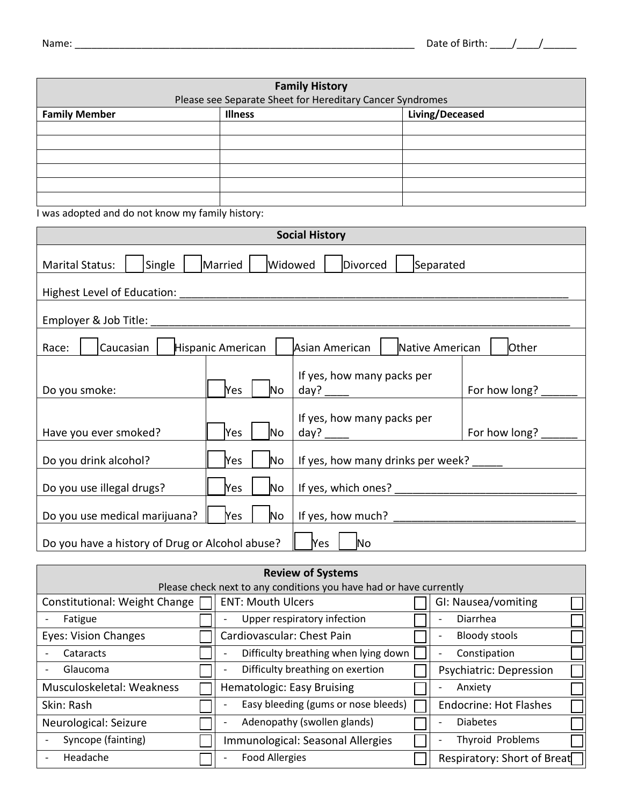| <b>Family History</b> |                                                           |  |  |  |
|-----------------------|-----------------------------------------------------------|--|--|--|
|                       | Please see Separate Sheet for Hereditary Cancer Syndromes |  |  |  |
| <b>Family Member</b>  | Living/Deceased<br><b>Illness</b>                         |  |  |  |
|                       |                                                           |  |  |  |
|                       |                                                           |  |  |  |
|                       |                                                           |  |  |  |
|                       |                                                           |  |  |  |
|                       |                                                           |  |  |  |
|                       |                                                           |  |  |  |

I was adopted and do not know my family history:

| <b>Social History</b>                                                                             |                                                      |                                                         |               |  |  |
|---------------------------------------------------------------------------------------------------|------------------------------------------------------|---------------------------------------------------------|---------------|--|--|
| Single<br><b>Marital Status:</b>                                                                  | Married                                              | Widowed<br>Divorced<br>Separated                        |               |  |  |
| Highest Level of Education:                                                                       |                                                      |                                                         |               |  |  |
| Employer & Job Title:                                                                             |                                                      |                                                         |               |  |  |
| Caucasian<br>Race:                                                                                | Hispanic American                                    | Native American<br>Asian American                       | Other         |  |  |
| Do you smoke:                                                                                     | Yes<br>No                                            | If yes, how many packs per<br>day? $\frac{1}{\sqrt{2}}$ | For how long? |  |  |
| If yes, how many packs per<br>For how long?<br>Have you ever smoked?<br>Yes<br>No.<br>day? $\_\_$ |                                                      |                                                         |               |  |  |
| Do you drink alcohol?                                                                             | If yes, how many drinks per week? ____<br>(Yes<br>No |                                                         |               |  |  |
| Do you use illegal drugs?<br>Yes<br>No                                                            |                                                      |                                                         |               |  |  |
| If yes, how much?<br>Do you use medical marijuana?<br>Yes<br>No                                   |                                                      |                                                         |               |  |  |
| Do you have a history of Drug or Alcohol abuse?<br><b>Yes</b><br>No                               |                                                      |                                                         |               |  |  |

| <b>Review of Systems</b>      |  |                                                                    |  |                               |
|-------------------------------|--|--------------------------------------------------------------------|--|-------------------------------|
|                               |  | Please check next to any conditions you have had or have currently |  |                               |
| Constitutional: Weight Change |  | <b>ENT: Mouth Ulcers</b>                                           |  | GI: Nausea/vomiting           |
| Fatigue                       |  | Upper respiratory infection                                        |  | Diarrhea                      |
| <b>Eyes: Vision Changes</b>   |  | Cardiovascular: Chest Pain                                         |  | <b>Bloody stools</b>          |
| Cataracts                     |  | Difficulty breathing when lying down                               |  | Constipation                  |
| Glaucoma                      |  | Difficulty breathing on exertion                                   |  | Psychiatric: Depression       |
| Musculoskeletal: Weakness     |  | Hematologic: Easy Bruising                                         |  | Anxiety                       |
| Skin: Rash                    |  | Easy bleeding (gums or nose bleeds)                                |  | <b>Endocrine: Hot Flashes</b> |
| Neurological: Seizure         |  | Adenopathy (swollen glands)                                        |  | <b>Diabetes</b>               |
| Syncope (fainting)            |  | Immunological: Seasonal Allergies                                  |  | Thyroid Problems              |
| Headache                      |  | <b>Food Allergies</b>                                              |  | Respiratory: Short of Breat   |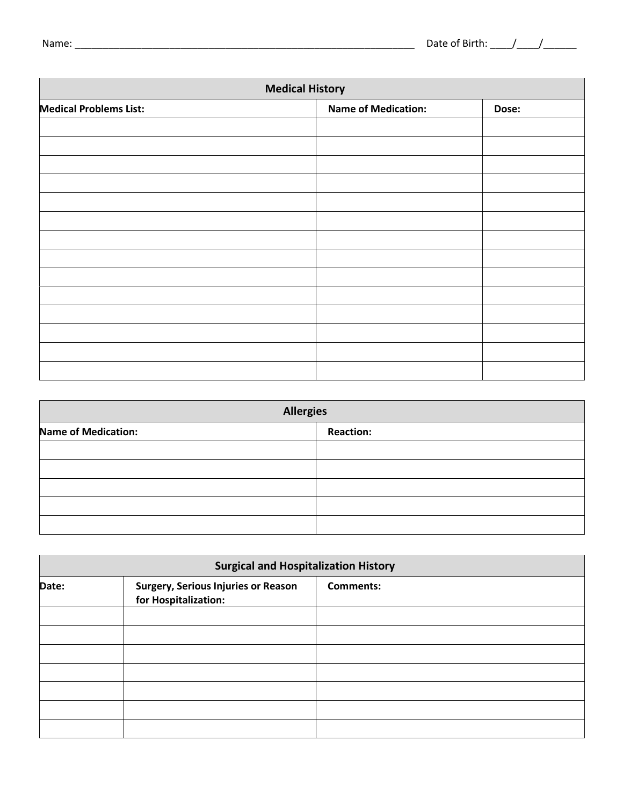$\overline{\phantom{a}}$ 

| <b>Medical History</b>        |                            |       |  |
|-------------------------------|----------------------------|-------|--|
| <b>Medical Problems List:</b> | <b>Name of Medication:</b> | Dose: |  |
|                               |                            |       |  |
|                               |                            |       |  |
|                               |                            |       |  |
|                               |                            |       |  |
|                               |                            |       |  |
|                               |                            |       |  |
|                               |                            |       |  |
|                               |                            |       |  |
|                               |                            |       |  |
|                               |                            |       |  |
|                               |                            |       |  |
|                               |                            |       |  |
|                               |                            |       |  |
|                               |                            |       |  |

| <b>Allergies</b>           |                  |  |  |
|----------------------------|------------------|--|--|
| <b>Name of Medication:</b> | <b>Reaction:</b> |  |  |
|                            |                  |  |  |
|                            |                  |  |  |
|                            |                  |  |  |
|                            |                  |  |  |
|                            |                  |  |  |

| <b>Surgical and Hospitalization History</b> |                                                                    |                  |  |  |
|---------------------------------------------|--------------------------------------------------------------------|------------------|--|--|
| Date:                                       | <b>Surgery, Serious Injuries or Reason</b><br>for Hospitalization: | <b>Comments:</b> |  |  |
|                                             |                                                                    |                  |  |  |
|                                             |                                                                    |                  |  |  |
|                                             |                                                                    |                  |  |  |
|                                             |                                                                    |                  |  |  |
|                                             |                                                                    |                  |  |  |
|                                             |                                                                    |                  |  |  |
|                                             |                                                                    |                  |  |  |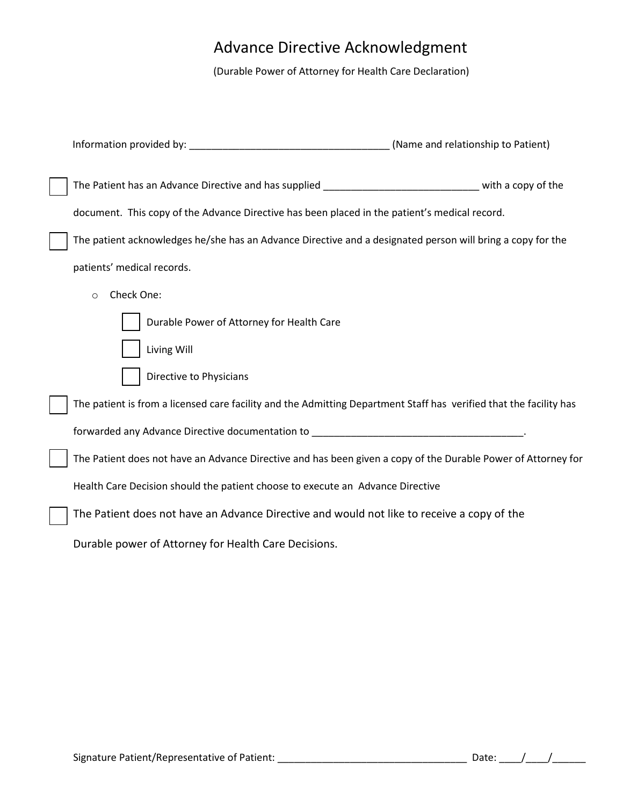# Advance Directive Acknowledgment

(Durable Power of Attorney for Health Care Declaration)

| The Patient has an Advance Directive and has supplied ________________________________ with a copy of the          |  |
|--------------------------------------------------------------------------------------------------------------------|--|
| document. This copy of the Advance Directive has been placed in the patient's medical record.                      |  |
| The patient acknowledges he/she has an Advance Directive and a designated person will bring a copy for the         |  |
| patients' medical records.                                                                                         |  |
| Check One:<br>$\circ$                                                                                              |  |
| Durable Power of Attorney for Health Care                                                                          |  |
| Living Will                                                                                                        |  |
| Directive to Physicians                                                                                            |  |
| The patient is from a licensed care facility and the Admitting Department Staff has verified that the facility has |  |
| forwarded any Advance Directive documentation to _______________________________                                   |  |
| The Patient does not have an Advance Directive and has been given a copy of the Durable Power of Attorney for      |  |
| Health Care Decision should the patient choose to execute an Advance Directive                                     |  |
| The Patient does not have an Advance Directive and would not like to receive a copy of the                         |  |
| Durable power of Attorney for Health Care Decisions.                                                               |  |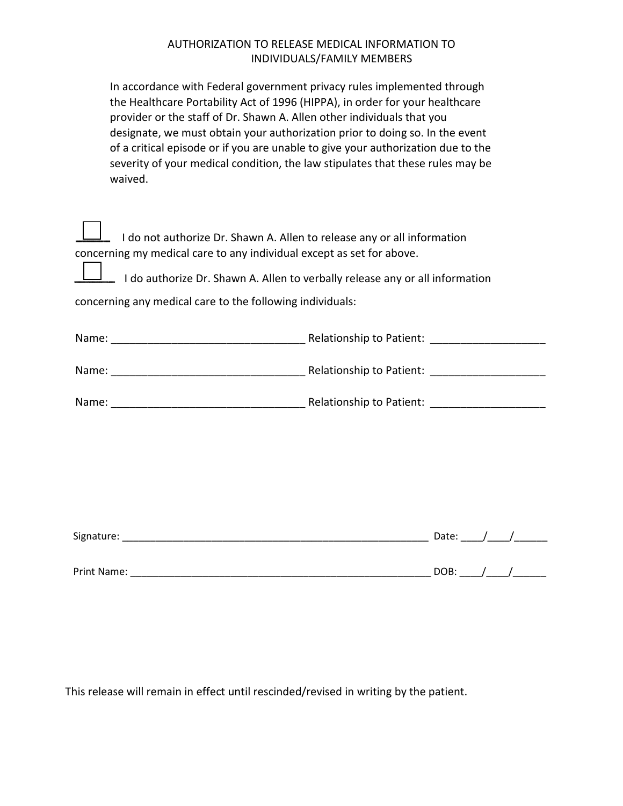#### AUTHORIZATION TO RELEASE MEDICAL INFORMATION TO INDIVIDUALS/FAMILY MEMBERS

| In accordance with Federal government privacy rules implemented through<br>the Healthcare Portability Act of 1996 (HIPPA), in order for your healthcare<br>provider or the staff of Dr. Shawn A. Allen other individuals that you<br>designate, we must obtain your authorization prior to doing so. In the event<br>of a critical episode or if you are unable to give your authorization due to the<br>severity of your medical condition, the law stipulates that these rules may be<br>waived. |  |            |
|----------------------------------------------------------------------------------------------------------------------------------------------------------------------------------------------------------------------------------------------------------------------------------------------------------------------------------------------------------------------------------------------------------------------------------------------------------------------------------------------------|--|------------|
| I do not authorize Dr. Shawn A. Allen to release any or all information<br>concerning my medical care to any individual except as set for above.<br>I do authorize Dr. Shawn A. Allen to verbally release any or all information<br>concerning any medical care to the following individuals:                                                                                                                                                                                                      |  |            |
|                                                                                                                                                                                                                                                                                                                                                                                                                                                                                                    |  |            |
|                                                                                                                                                                                                                                                                                                                                                                                                                                                                                                    |  |            |
|                                                                                                                                                                                                                                                                                                                                                                                                                                                                                                    |  |            |
|                                                                                                                                                                                                                                                                                                                                                                                                                                                                                                    |  |            |
|                                                                                                                                                                                                                                                                                                                                                                                                                                                                                                    |  |            |
|                                                                                                                                                                                                                                                                                                                                                                                                                                                                                                    |  |            |
|                                                                                                                                                                                                                                                                                                                                                                                                                                                                                                    |  |            |
|                                                                                                                                                                                                                                                                                                                                                                                                                                                                                                    |  | DOB: $/$ / |

This release will remain in effect until rescinded/revised in writing by the patient.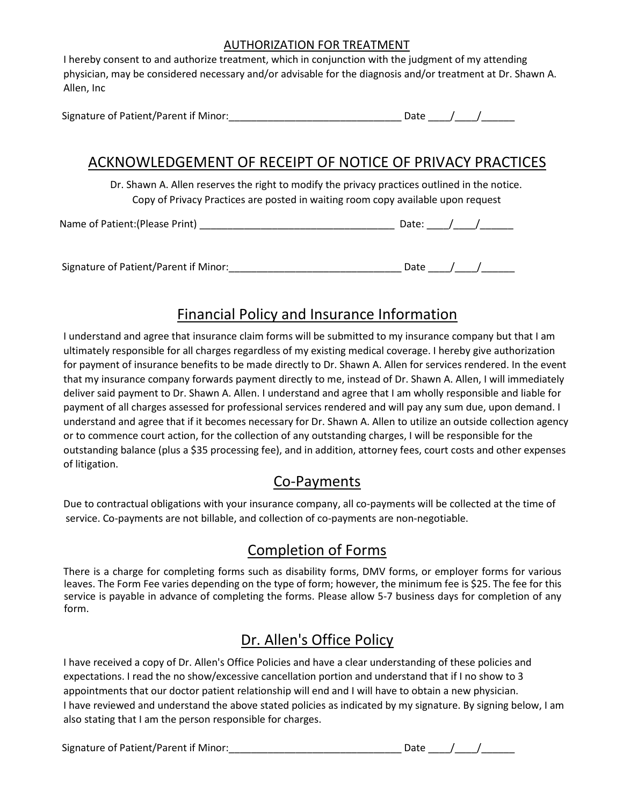#### AUTHORIZATION FOR TREATMENT

I hereby consent to and authorize treatment, which in conjunction with the judgment of my attending physician, may be considered necessary and/or advisable for the diagnosis and/or treatment at Dr. Shawn A. Allen, Inc

| Signature of Patient/Parent if Minor: |  |  |  |  |
|---------------------------------------|--|--|--|--|
|---------------------------------------|--|--|--|--|

### ACKNOWLEDGEMENT OF RECEIPT OF NOTICE OF PRIVACY PRACTICES

Dr. Shawn A. Allen reserves the right to modify the privacy practices outlined in the notice. Copy of Privacy Practices are posted in waiting room copy available upon request

Name of Patient:(Please Print)  $\Box$ 

Signature of Patient/Parent if Minor:\_\_\_\_\_\_\_\_\_\_\_\_\_\_\_\_\_\_\_\_\_\_\_\_\_\_\_\_\_\_\_ Date \_\_\_\_/\_\_\_\_/\_\_\_\_\_\_

## Financial Policy and Insurance Information

I understand and agree that insurance claim forms will be submitted to my insurance company but that I am ultimately responsible for all charges regardless of my existing medical coverage. I hereby give authorization for payment of insurance benefits to be made directly to Dr. Shawn A. Allen for services rendered. In the event that my insurance company forwards payment directly to me, instead of Dr. Shawn A. Allen, I will immediately deliver said payment to Dr. Shawn A. Allen. I understand and agree that I am wholly responsible and liable for payment of all charges assessed for professional services rendered and will pay any sum due, upon demand. I understand and agree that if it becomes necessary for Dr. Shawn A. Allen to utilize an outside collection agency or to commence court action, for the collection of any outstanding charges, I will be responsible for the outstanding balance (plus a \$35 processing fee), and in addition, attorney fees, court costs and other expenses of litigation.

## Co-Payments

Due to contractual obligations with your insurance company, all co-payments will be collected at the time of service. Co-payments are not billable, and collection of co-payments are non-negotiable.

## Completion of Forms

There is a charge for completing forms such as disability forms, DMV forms, or employer forms for various leaves. The Form Fee varies depending on the type of form; however, the minimum fee is \$25. The fee for this service is payable in advance of completing the forms. Please allow 5-7 business days for completion of any form.

## Dr. Allen's Office Policy

I have received a copy of Dr. Allen's Office Policies and have a clear understanding of these policies and expectations. I read the no show/excessive cancellation portion and understand that if I no show to 3 appointments that our doctor patient relationship will end and I will have to obtain a new physician. I have reviewed and understand the above stated policies as indicated by my signature. By signing below, I am also stating that I am the person responsible for charges.

Signature of Patient/Parent if Minor:\_\_\_\_\_\_\_\_\_\_\_\_\_\_\_\_\_\_\_\_\_\_\_\_\_\_\_\_\_\_\_ Date \_\_\_\_/\_\_\_\_/\_\_\_\_\_\_

| Date |  |  |
|------|--|--|
|      |  |  |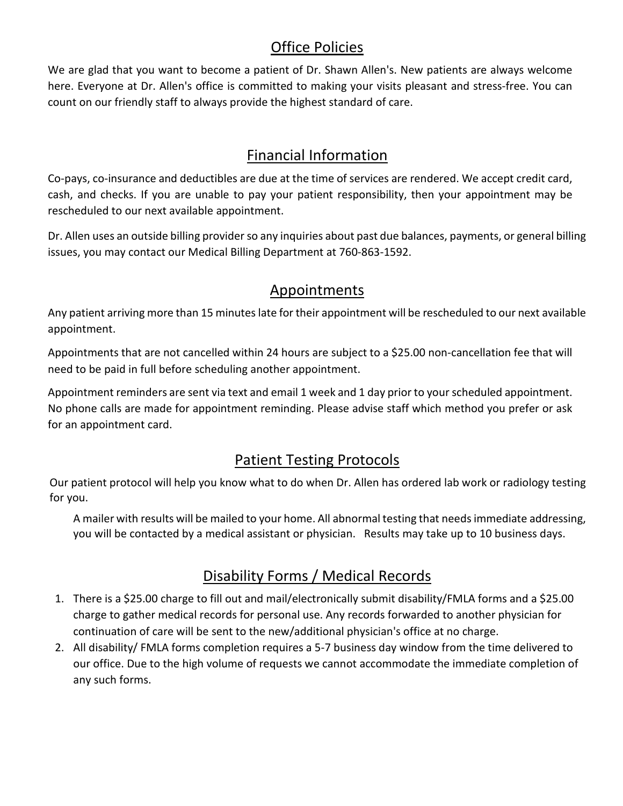## Office Policies

We are glad that you want to become a patient of Dr. Shawn Allen's. New patients are always welcome here. Everyone at Dr. Allen's office is committed to making your visits pleasant and stress-free. You can count on our friendly staff to always provide the highest standard of care.

## Financial Information

Co-pays, co-insurance and deductibles are due at the time of services are rendered. We accept credit card, cash, and checks. If you are unable to pay your patient responsibility, then your appointment may be rescheduled to our next available appointment.

Dr. Allen uses an outside billing provider so any inquiries about past due balances, payments, or general billing issues, you may contact our Medical Billing Department at 760-863-1592.

## Appointments

Any patient arriving more than 15 minutes late for their appointment will be rescheduled to our next available appointment.

Appointments that are not cancelled within 24 hours are subject to a \$25.00 non-cancellation fee that will need to be paid in full before scheduling another appointment.

Appointment reminders are sent via text and email 1 week and 1 day prior to your scheduled appointment. No phone calls are made for appointment reminding. Please advise staff which method you prefer or ask for an appointment card.

## Patient Testing Protocols

Our patient protocol will help you know what to do when Dr. Allen has ordered lab work or radiology testing for you.

A mailer with results will be mailed to your home. All abnormal testing that needs immediate addressing, you will be contacted by a medical assistant or physician. Results may take up to 10 business days.

## Disability Forms / Medical Records

- 1. There is a \$25.00 charge to fill out and mail/electronically submit disability/FMLA forms and a \$25.00 charge to gather medical records for personal use. Any records forwarded to another physician for continuation of care will be sent to the new/additional physician's office at no charge.
- 2. All disability/ FMLA forms completion requires a 5-7 business day window from the time delivered to our office. Due to the high volume of requests we cannot accommodate the immediate completion of any such forms.